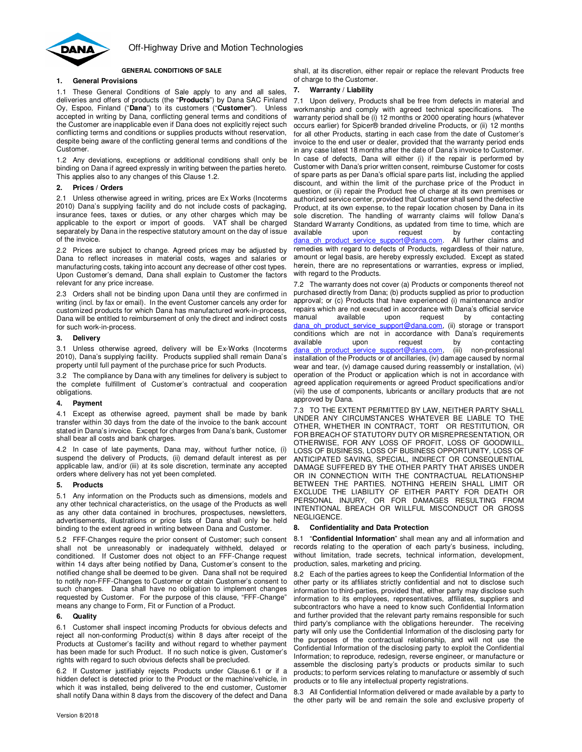

## **GENERAL CONDITIONS OF SALE**

# **1. General Provisions**

1.1 These General Conditions of Sale apply to any and all sales, deliveries and offers of products (the "**Products**") by Dana SAC Finland Oy, Espoo, Finland ("**Dana**") to its customers ("**Customer**"). Unless accepted in writing by Dana, conflicting general terms and conditions of the Customer are inapplicable even if Dana does not explicitly reject such conflicting terms and conditions or supplies products without reservation, despite being aware of the conflicting general terms and conditions of the Customer.

1.2 Any deviations, exceptions or additional conditions shall only be binding on Dana if agreed expressly in writing between the parties hereto. This applies also to any changes of this Clause 1.2.

## **2. Prices / Orders**

2.1 Unless otherwise agreed in writing, prices are Ex Works (Incoterms 2010) Dana's supplying facility and do not include costs of packaging, insurance fees, taxes or duties, or any other charges which may be applicable to the export or import of goods. VAT shall be charged separately by Dana in the respective statutory amount on the day of issue of the invoice.

2.2 Prices are subject to change. Agreed prices may be adjusted by Dana to reflect increases in material costs, wages and salaries or manufacturing costs, taking into account any decrease of other cost types. Upon Customer's demand, Dana shall explain to Customer the factors relevant for any price increase.

2.3 Orders shall not be binding upon Dana until they are confirmed in writing (incl. by fax or email). In the event Customer cancels any order for customized products for which Dana has manufactured work-in-process, Dana will be entitled to reimbursement of only the direct and indirect costs for such work-in-process.

#### **3. Delivery**

3.1 Unless otherwise agreed, delivery will be Ex-Works (Incoterms 2010), Dana's supplying facility. Products supplied shall remain Dana's property until full payment of the purchase price for such Products.

3.2 The compliance by Dana with any timelines for delivery is subject to the complete fulfillment of Customer's contractual and cooperation obligations.

# **4. Payment**

4.1 Except as otherwise agreed, payment shall be made by bank transfer within 30 days from the date of the invoice to the bank account stated in Dana's invoice. Except for charges from Dana's bank, Customer shall bear all costs and bank charges.

4.2 In case of late payments, Dana may, without further notice, (i) suspend the delivery of Products, (ii) demand default interest as per applicable law, and/or (iii) at its sole discretion, terminate any accepted orders where delivery has not yet been completed.

#### **5. Products**

5.1 Any information on the Products such as dimensions, models and any other technical characteristics, on the usage of the Products as well as any other data contained in brochures, prospectuses, newsletters, advertisements, illustrations or price lists of Dana shall only be held binding to the extent agreed in writing between Dana and Customer.

5.2 FFF-Changes require the prior consent of Customer; such consent shall not be unreasonably or inadequately withheld, delayed or conditioned. If Customer does not object to an FFF-Change request within 14 days after being notified by Dana, Customer's consent to the notified change shall be deemed to be given. Dana shall not be required to notify non-FFF-Changes to Customer or obtain Customer's consent to such changes. Dana shall have no obligation to implement changes requested by Customer. For the purpose of this clause, "FFF-Change" means any change to Form, Fit or Function of a Product.

# **6. Quality**

6.1 Customer shall inspect incoming Products for obvious defects and reject all non-conforming Product(s) within 8 days after receipt of the Products at Customer's facility and without regard to whether payment has been made for such Product. If no such notice is given, Customer's rights with regard to such obvious defects shall be precluded.

6.2 If Customer justifiably rejects Products under Clause 6.1 or if a hidden defect is detected prior to the Product or the machine/vehicle, in which it was installed, being delivered to the end customer, Customer shall notify Dana within 8 days from the discovery of the defect and Dana

shall, at its discretion, either repair or replace the relevant Products free of charge to the Customer.

# **7. Warranty / Liability**

7.1 Upon delivery, Products shall be free from defects in material and workmanship and comply with agreed technical specifications. The warranty period shall be (i) 12 months or 2000 operating hours (whatever occurs earlier) for Spicer® branded driveline Products, or (ii) 12 months for all other Products, starting in each case from the date of Customer's invoice to the end user or dealer, provided that the warranty period ends in any case latest 18 months after the date of Dana's invoice to Customer. In case of defects, Dana will either (i) if the repair is performed by Customer with Dana's prior written consent, reimburse Customer for costs of spare parts as per Dana's official spare parts list, including the applied discount, and within the limit of the purchase price of the Product in question, or (ii) repair the Product free of charge at its own premises or authorized service center, provided that Customer shall send the defective Product, at its own expense, to the repair location chosen by Dana in its sole discretion. The handling of warranty claims will follow Dana's Standard Warranty Conditions, as updated from time to time, which are available upon request by contacting dana\_oh\_product\_service\_support@dana.com. All further claims and remedies with regard to defects of Products, regardless of their nature, amount or legal basis, are hereby expressly excluded. Except as stated herein, there are no representations or warranties, express or implied, with regard to the Products.

7.2 The warranty does not cover (a) Products or components thereof not purchased directly from Dana; (b) products supplied as prior to production approval; or (c) Products that have experienced (i) maintenance and/or repairs which are not executed in accordance with Dana's official service manual available upon request by contacting dana\_oh\_product\_service\_support@dana.com, (ii) storage or transport conditions which are not in accordance with Dana's requirements available upon request by contacting dana\_oh\_product\_service\_support@dana.com, (iii) non-professional installation of the Products or of ancillaries, (iv) damage caused by normal wear and tear, (v) damage caused during reassembly or installation, (vi) operation of the Product or application which is not in accordance with agreed application requirements or agreed Product specifications and/or (vii) the use of components, lubricants or ancillary products that are not approved by Dana.

7.3 TO THE EXTENT PERMITTED BY LAW, NEITHER PARTY SHALL UNDER ANY CIRCUMSTANCES WHATEVER BE LIABLE TO THE OTHER, WHETHER IN CONTRACT, TORT OR RESTITUTION, OR FOR BREACH OF STATUTORY DUTY OR MISREPRESENTATION, OR OTHERWISE, FOR ANY LOSS OF PROFIT, LOSS OF GOODWILL, LOSS OF BUSINESS, LOSS OF BUSINESS OPPORTUNITY, LOSS OF ANTICIPATED SAVING, SPECIAL, INDIRECT OR CONSEQUENTIAL DAMAGE SUFFERED BY THE OTHER PARTY THAT ARISES UNDER OR IN CONNECTION WITH THE CONTRACTUAL RELATIONSHIP BETWEEN THE PARTIES. NOTHING HEREIN SHALL LIMIT OR EXCLUDE THE LIABILITY OF EITHER PARTY FOR DEATH OR PERSONAL INJURY, OR FOR DAMAGES RESULTING FROM INTENTIONAL BREACH OR WILLFUL MISCONDUCT OR GROSS NEGLIGENCE.

# **8. Confidentiality and Data Protection**

8.1 "**Confidential Information**" shall mean any and all information and records relating to the operation of each party's business, including, without limitation, trade secrets, technical information, development, production, sales, marketing and pricing.

8.2 Each of the parties agrees to keep the Confidential Information of the other party or its affiliates strictly confidential and not to disclose such information to third-parties, provided that, either party may disclose such information to its employees, representatives, affiliates, suppliers and subcontractors who have a need to know such Confidential Information and further provided that the relevant party remains responsible for such third party's compliance with the obligations hereunder. The receiving party will only use the Confidential Information of the disclosing party for the purposes of the contractual relationship, and will not use the Confidential Information of the disclosing party to exploit the Confidential Information; to reproduce, redesign, reverse engineer, or manufacture or assemble the disclosing party's products or products similar to such products; to perform services relating to manufacture or assembly of such products or to file any intellectual property registrations.

8.3 All Confidential Information delivered or made available by a party to the other party will be and remain the sole and exclusive property of